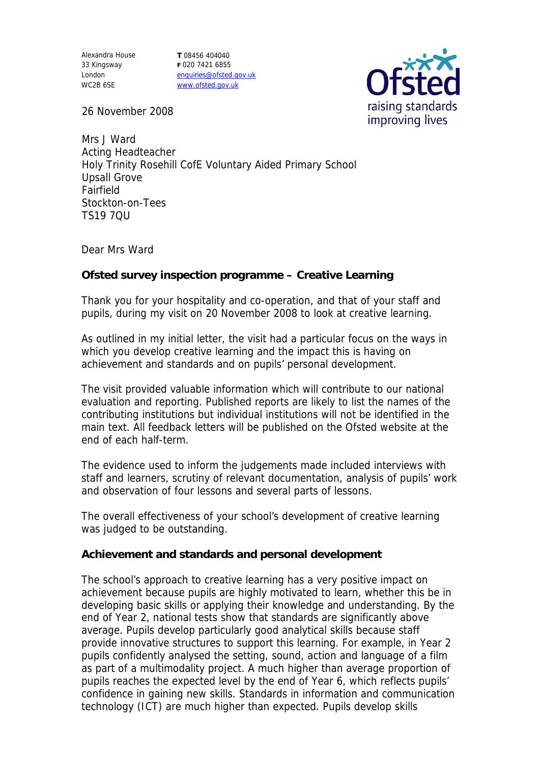Alexandra House 33 Kingsway London WC2B 6SE

**T** 08456 404040 **F** 020 7421 6855 enquiries@ofsted.gov.uk www.ofsted.gov.uk



26 November 2008

Mrs J Ward Acting Headteacher Holy Trinity Rosehill CofE Voluntary Aided Primary School Upsall Grove Fairfield Stockton-on-Tees TS19 7QU

Dear Mrs Ward

**Ofsted survey inspection programme – Creative Learning**

Thank you for your hospitality and co-operation, and that of your staff and pupils, during my visit on 20 November 2008 to look at creative learning.

As outlined in my initial letter, the visit had a particular focus on the ways in which you develop creative learning and the impact this is having on achievement and standards and on pupils' personal development.

The visit provided valuable information which will contribute to our national evaluation and reporting. Published reports are likely to list the names of the contributing institutions but individual institutions will not be identified in the main text. All feedback letters will be published on the Ofsted website at the end of each half-term.

The evidence used to inform the judgements made included interviews with staff and learners, scrutiny of relevant documentation, analysis of pupils' work and observation of four lessons and several parts of lessons.

The overall effectiveness of your school's development of creative learning was judged to be outstanding.

**Achievement and standards and personal development**

The school's approach to creative learning has a very positive impact on achievement because pupils are highly motivated to learn, whether this be in developing basic skills or applying their knowledge and understanding. By the end of Year 2, national tests show that standards are significantly above average. Pupils develop particularly good analytical skills because staff provide innovative structures to support this learning. For example, in Year 2 pupils confidently analysed the setting, sound, action and language of a film as part of a multimodality project. A much higher than average proportion of pupils reaches the expected level by the end of Year 6, which reflects pupils' confidence in gaining new skills. Standards in information and communication technology (ICT) are much higher than expected. Pupils develop skills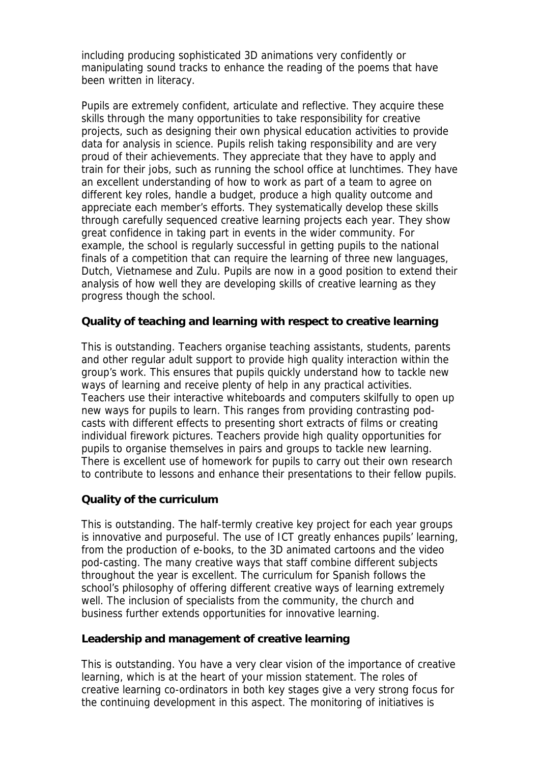including producing sophisticated 3D animations very confidently or manipulating sound tracks to enhance the reading of the poems that have been written in literacy.

Pupils are extremely confident, articulate and reflective. They acquire these skills through the many opportunities to take responsibility for creative projects, such as designing their own physical education activities to provide data for analysis in science. Pupils relish taking responsibility and are very proud of their achievements. They appreciate that they have to apply and train for their jobs, such as running the school office at lunchtimes. They have an excellent understanding of how to work as part of a team to agree on different key roles, handle a budget, produce a high quality outcome and appreciate each member's efforts. They systematically develop these skills through carefully sequenced creative learning projects each year. They show great confidence in taking part in events in the wider community. For example, the school is regularly successful in getting pupils to the national finals of a competition that can require the learning of three new languages, Dutch, Vietnamese and Zulu. Pupils are now in a good position to extend their analysis of how well they are developing skills of creative learning as they progress though the school.

**Quality of teaching and learning with respect to creative learning**

This is outstanding. Teachers organise teaching assistants, students, parents and other regular adult support to provide high quality interaction within the group's work. This ensures that pupils quickly understand how to tackle new ways of learning and receive plenty of help in any practical activities. Teachers use their interactive whiteboards and computers skilfully to open up new ways for pupils to learn. This ranges from providing contrasting podcasts with different effects to presenting short extracts of films or creating individual firework pictures. Teachers provide high quality opportunities for pupils to organise themselves in pairs and groups to tackle new learning. There is excellent use of homework for pupils to carry out their own research to contribute to lessons and enhance their presentations to their fellow pupils.

## **Quality of the curriculum**

This is outstanding. The half-termly creative key project for each year groups is innovative and purposeful. The use of ICT greatly enhances pupils' learning, from the production of e-books, to the 3D animated cartoons and the video pod-casting. The many creative ways that staff combine different subjects throughout the year is excellent. The curriculum for Spanish follows the school's philosophy of offering different creative ways of learning extremely well. The inclusion of specialists from the community, the church and business further extends opportunities for innovative learning.

**Leadership and management of creative learning**

This is outstanding. You have a very clear vision of the importance of creative learning, which is at the heart of your mission statement. The roles of creative learning co-ordinators in both key stages give a very strong focus for the continuing development in this aspect. The monitoring of initiatives is